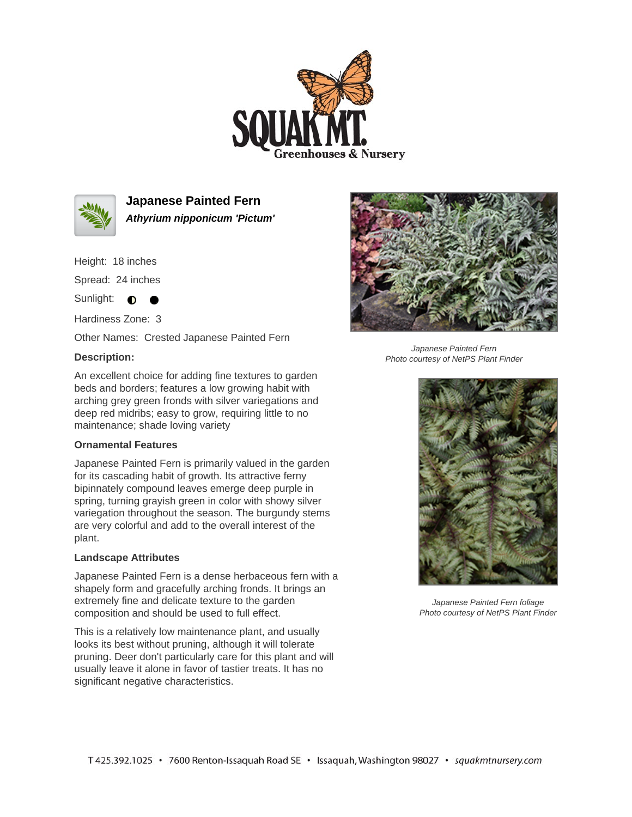



**Japanese Painted Fern Athyrium nipponicum 'Pictum'**

Height: 18 inches

Spread: 24 inches

Sunlight: **O** 

Hardiness Zone: 3

Other Names: Crested Japanese Painted Fern

## **Description:**



Japanese Painted Fern Photo courtesy of NetPS Plant Finder

An excellent choice for adding fine textures to garden beds and borders; features a low growing habit with arching grey green fronds with silver variegations and deep red midribs; easy to grow, requiring little to no maintenance; shade loving variety

## **Ornamental Features**

Japanese Painted Fern is primarily valued in the garden for its cascading habit of growth. Its attractive ferny bipinnately compound leaves emerge deep purple in spring, turning grayish green in color with showy silver variegation throughout the season. The burgundy stems are very colorful and add to the overall interest of the plant.

## **Landscape Attributes**

Japanese Painted Fern is a dense herbaceous fern with a shapely form and gracefully arching fronds. It brings an extremely fine and delicate texture to the garden composition and should be used to full effect.

This is a relatively low maintenance plant, and usually looks its best without pruning, although it will tolerate pruning. Deer don't particularly care for this plant and will usually leave it alone in favor of tastier treats. It has no significant negative characteristics.



Japanese Painted Fern foliage Photo courtesy of NetPS Plant Finder